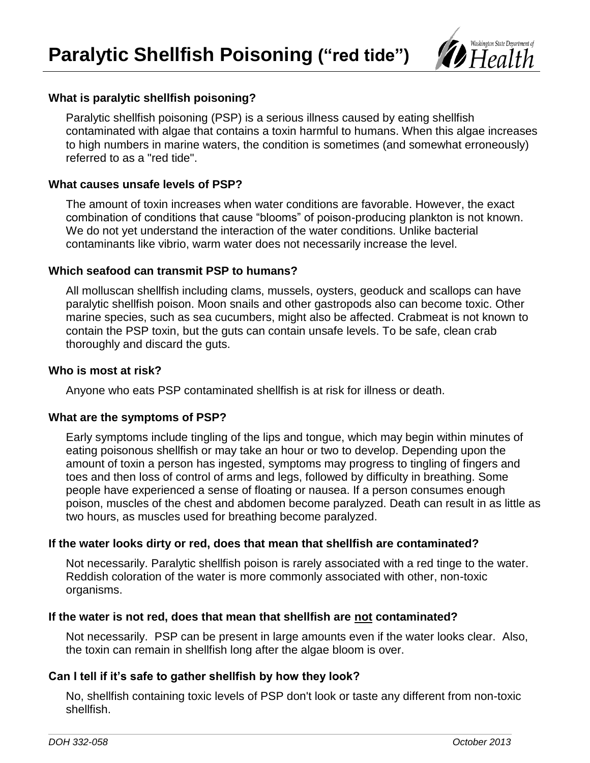

# **What is paralytic shellfish poisoning?**

Paralytic shellfish poisoning (PSP) is a serious illness caused by eating shellfish contaminated with algae that contains a toxin harmful to humans. When this algae increases to high numbers in marine waters, the condition is sometimes (and somewhat erroneously) referred to as a "red tide".

## **What causes unsafe levels of PSP?**

The amount of toxin increases when water conditions are favorable. However, the exact combination of conditions that cause "blooms" of poison-producing plankton is not known. We do not yet understand the interaction of the water conditions. Unlike bacterial contaminants like vibrio, warm water does not necessarily increase the level.

## **Which seafood can transmit PSP to humans?**

All molluscan shellfish including clams, mussels, oysters, geoduck and scallops can have paralytic shellfish poison. Moon snails and other gastropods also can become toxic. Other marine species, such as sea cucumbers, might also be affected. Crabmeat is not known to contain the PSP toxin, but the guts can contain unsafe levels. To be safe, clean crab thoroughly and discard the guts.

## **Who is most at risk?**

Anyone who eats PSP contaminated shellfish is at risk for illness or death.

# **What are the symptoms of PSP?**

Early symptoms include tingling of the lips and tongue, which may begin within minutes of eating poisonous shellfish or may take an hour or two to develop. Depending upon the amount of toxin a person has ingested, symptoms may progress to tingling of fingers and toes and then loss of control of arms and legs, followed by difficulty in breathing. Some people have experienced a sense of floating or nausea. If a person consumes enough poison, muscles of the chest and abdomen become paralyzed. Death can result in as little as two hours, as muscles used for breathing become paralyzed.

# **If the water looks dirty or red, does that mean that shellfish are contaminated?**

Not necessarily. Paralytic shellfish poison is rarely associated with a red tinge to the water. Reddish coloration of the water is more commonly associated with other, non-toxic organisms.

## **If the water is not red, does that mean that shellfish are not contaminated?**

Not necessarily. PSP can be present in large amounts even if the water looks clear. Also, the toxin can remain in shellfish long after the algae bloom is over.

# **Can I tell if it's safe to gather shellfish by how they look?**

No, shellfish containing toxic levels of PSP don't look or taste any different from non-toxic shellfish.